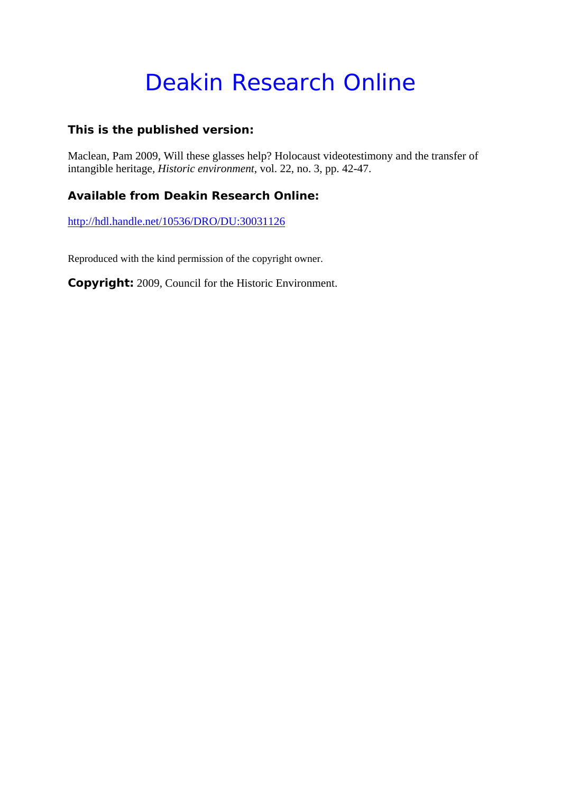# Deakin Research Online

## **This is the published version:**

Maclean, Pam 2009, Will these glasses help? Holocaust videotestimony and the transfer of intangible heritage*, Historic environment*, vol. 22, no. 3, pp. 42-47.

# **Available from Deakin Research Online:**

http://hdl.handle.net/10536/DRO/DU:30031126

Reproduced with the kind permission of the copyright owner.

**Copyright:** 2009, Council for the Historic Environment.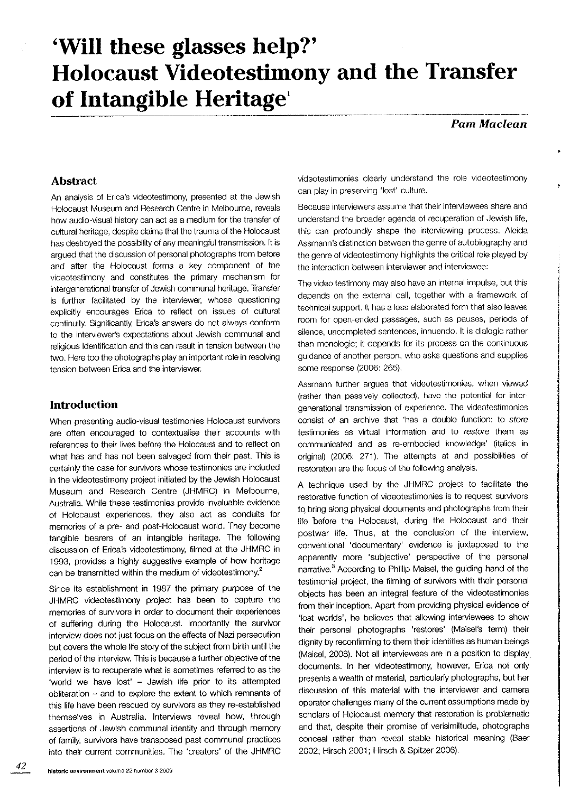# 'Will these glasses help?' Holocaust Videotestimony and the Transfer of Intangible Heritage'

Pam Maclean

### Abstract

An analysis of Erica's videotestimony, presented at the Jewish Holocaust Museum and Research Centre in Melbourne, reveals how audio-visual history can act as a medium for the transfer of cultural heritage, despite claims that the trauma of the Holocaust has destroyed the possibility of any meaningful transmission. It is arqued that the discussion of personal photographs from before and after the Holocaust forms a key component of the videotestimony and constitutes the primary mechanism for intergenerational transfer of Jewish communal heritage, Transfer is further facilitated by the interviewer, whose questioning explicitly encourages Erica to reflect on issues of cultural continuity. Significantly, Erica's answers do not always conform to the interviewer's expectations about Jewish communal and religious identification and this can result in tension between the two. Here too the photographs play an important role in resolving tension between Erica and the interviewer.

### Introduction

When presenting audio-visual testimonies Holocaust survivors are often encouraged to contextuâlise their accounts with references to their lives before the Holocaust and to reflect on what has and has not been salvaged from their past. This is certainly the case for survivors whose testimonies are included in the videotestimony project initiated by the Jewish Holocaust Museum and Research Centre (JHMRC) in Melbourne, Australia. While these testimonies provide invaluable evidence of Holocaust experiences, they also act as conduits for memories of â pre- and post-Holocaust world. They become tangible bearers of an intangible heritage. The following discussion of Erica's videotestimony, filmed at the JHMRC in 1993, provides a highly suggestive example of how heritage can be transmitted within the medium of videotestimony. $<sup>2</sup>$ </sup>

Since its establishment in 1987 the primary purpose of the JHMRC videotestimony project has been to capture the memories of survivors in order to document their experiences of suffering during the Holocaust. Importantly the survivor interview does not just focus on the effects of Nazi persecution but covers the whole life story of the subject from birth until the period of the interview. This is because a further objective of the interview is to recuperate what is sometimes referred to as the 'world we have lost' - Jewish life prior to its attempted obliteration - and to explore the extent to which remnants of this life have been rescued by survivors as they re-established themselves in Australia. lnterviews reveal how, through assertions of Jewish communal identity and through memory of family, survivors have transposed past communal practices into their current communities. The 'creators' of the JHMRC

videotestimonies clearly understand the role videotestimony can play in preserving'lost' culture.

Because interviewers assume that their interviewees share and understand the broader agenda of recuperation of Jewish life, this can profoundly shape the interviewing process. Aleida Assmann's distinction between the genre of autobiography and the genre of videotestimony highlights the critical role played by the interaction between interviewer and interviewee:

The video testimony may also have an internal impulse, but this depends on the external call, together with a framework of technìcal support. ft has a less elaborated form that also leaves room for open ended passages, such as pauses, perìods of silence, uncompleted sentences, innuendo. It is dialogic rather than monologic; it depends for its process on the continuous guidance of another person, who asks questions and supplies some response (2006: 265).

Assmann further argues that videotestimonies, when vìewed (ralher than passively collected), have the potentiaì for inter generational transmission of experience. The videotestimonies consist of an archive that 'has a double function: to store testimonies as virtual information and to restore them as communicated and as re-embodied knowledge' (italics in original) (2006: 271). The attempts at and possibilities of restoration are the focus of the following analysis.

A technique used by the JHMRC project to facilitate the restorative function of videotestimonies is to request suryivors to bring along physical documents and photographs from their life before the Holocaust, during the Holocaust and their postwar life. Thus, at the conclusíon of the interview, conventional 'documentary' evidence is juxtaposed to the apparently more 'subjective' perspective of the personal narrative.<sup>3</sup> According to Phillip Maisel, the guiding hand of the testimonial project, the filming of survivors with their personal objects has been an integral feature of the videotestimonies from their inception. Apart from providing physical evidence of 'fost worlds', he believes that allowing interviewees to show their personal photographs 'restores' (Maisel's term) their dignity by reconflrmìng to them their identities as human beings (Maisel, 2008). Not all interviewees are in a position to display documents. In her videotestimony, however, Erica not only presents a wealth of material, particularly photographs, but her discussion of this material with the interviewer and camera operator challenges many of the current assumptions made by scholars of Holocaust memory that restoration is problematic and that, despite their promise of verisimiltude, photographs conceal rather than reveal stable historical meaning (Baer 2OO2: Hirsch 2001: Hirsch & Spitzer 200ô).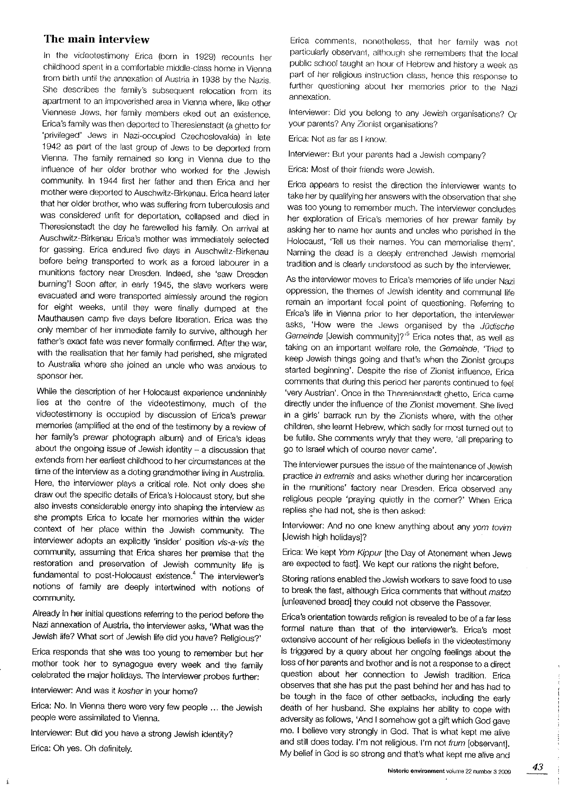#### The main interview

In the videotestimony Erica (born in 1929) recounts her childhood spent ìn a comforlable rniddle-class home in Vienna from birth until the annexation of Austria in 1938 by the Nazis. She describes the family's subsequent relocation from its apartment to an impoverished area in Vienna where, like other Viennese Jews, her family members eked out an existence. Erica's family was then deported to Theresienstadt (a ghetto for 'privileged' Jews in Nazi-occupied Czechoslovakia) in late 1942 as part of the last group of Jews to be deported from Vienna. The family remained so fong in Vienna due to the influence of her older brother who worked for the Jewish community. ln 1944 frst her father and then Erica and her mother were deported to Auschwitz-Birkenau. Erica heard later that her older brother, who was suffering from tuberculosis and was considered unfit for deportation, collapsed and died in Theresienstadt the day he farewelled his family. On arrìval at Auschwitz-Birkenau Erica's mother was immediately selected for gassing. Erica endured five days in Auschwitz-Birkenau before being transported to work âs a forced labourer in a munitions factory near Dresden, Indeed, she 'saw Dresden burning'! Soon after, in early 1945, the slave workers were<br>evacuated and were transported aimlessly around the region for eight weeks, until they were finally dumped at the Mauthausen câmp five days before liberation. Erica was the only member of her immediate family to survive, although her father's exact fate was never formally confirmed. After the war, with the realisation that her family had perished, she migrated to Australia where she joined an uncle who was anxious to sponsor her.

While the description of her Holocâust experìence undeniably lies at the centre of the vrdeotestimony, much of the videotestimony is occupied by discussion of Erica's prewar memories (amplified at the end of the testimony by a review of her family's prewar photograph album) and of Erica's ideas about the ongoing issue of Jewish identity - a discussion that extends from her earliest childhood to her circumstances at the time of the interview as a doting grandmother living in Australia. Here, the interviewer plays a critical role. Not only does she draw out the specific details of Erica's Holocaust story, but she also invests considerable energy into shaping the interview as she prompts Erica to locate her memories within the wider context of her place within the Jewish community, The interviewer adopts an explicitly 'insider' position vis-a-vis the community, assuming that Erica shares her premise that the restoration and preservation of Jewish community life is fundamental to post-Holocaust existence.<sup>4</sup> The interviewer's notions of family are deeply intertwined with notions of community.

Already in her initial questions referring to the period before the Nazi annexation of Austria, the interviewer asks, 'What was the Jewish life? What sort of Jewish life did you have? Religious?'

Erica responds that she was too young to remember but her mother took her to synagogue every week and the family celebrated the major holidays. The interviewer probes further:

Interviewer: And was it kosher in your home?

Á

Erica: No. In Vienna there were very few people ... the Jewish people were assimilated to Vienna.

Interviewer: But did you have a strong Jewish identity? Erica: Oh yes. Oh definitelv

Erica comments, nonetheless, that her family was not particularly observant, although she remembers that the local public school taught an hour of Hebrew and history a week as part of her religious instruction class, hence this response to further questioning about her memories prior to the Nazi annexation.

Interviewer: Did you belong to any Jewish organisations? Or your parents? Any Zionist organisations?

Erica: Not as far as I know

Interviewer: But your parents had a Jewish company?

Erica: Most of their friends were Jewish.

Erica appears to resist the direction the interviewer wants to take her by qualifying her answers with the observation that she was too young to remember much. The interviewer concludes her exploration of Ërica's memories of her prewar famìly by asking her to name her aunts and uncles who perished in the Holocaust,'Tell us their names. You can memorialise them'. Naming the dead is a deeply entrenched Jewish memorial tradition and is clearly understood as such by the interviewer.

As the interviewer moves to Erica's memories of life under Nazi oppression, the thernes of Jewish identity and communal life remain an important focal point of questioning. Referring to Erica's life in Vienna prior to her deportation, the interviewer asks, 'How were the Jews organised by the Jüdische Gemeinde [Jewish community]?<sup>15</sup> Erica notes that, as well as taking on an important welfare role, the Gemeinde, 'Tried to keep Jewish things going and that's when the Zionist groups started beginning'. Despite the rise of Zionist inffuence, Erica comments that during this period her parents continued to feel 'very Austrian'. Once in the Theresienstadt ghetto, Erica came directly under the influence of the Zionist movement, She lived in a girls' barrack run by the Zionists where, with the other children, she learnt Hebrew, which sadly for most turned out to be futile. She comments wryly that they were, 'all preparing to go to Israel which of course never came'.

The interviewer pursues the issue of the maintenance of Jewish practice in extremis and asks whether during her incarceration in the munitions' factory near Dresden. Erica observed any religious people 'praying quietly in the corner?' When Erica replies she had not, she is then asked:

Interviewer: And no one knew anything about any yom tovim [Jewish high holidays]?

Erica: We kept Yom Kippur [the Day of Atonement when Jews are expected to fastl. We kept our rations the night before.

Storing rations enabled the Jewish workers to save food to use to break the fast, although Erica comments that without matzo [unleavened bread] they could not observe the Passover.

Erica's orientation towards religion is revealed to be of a far less formal nature than that of the interviewer's. Erica's most extensive account of her religious beliefs in the videotestimony is triggered by a query about her ongoing feelings about the loss of her parents and brother and is not a response to a direct question about her connection to Jewish tradition. Erica observes that she has put the past behind her and has had to be tough in the face of other setbacks, including the early death of her husband. She explains her ability to cope with adversity as follows, 'And I sornehow got a gift which God gave me. I believe very strongly in God. That is what kept me alive and still does today. I'm not religious, I'm not frum [observant]. My belief in God is so strong and that's what kept me alive and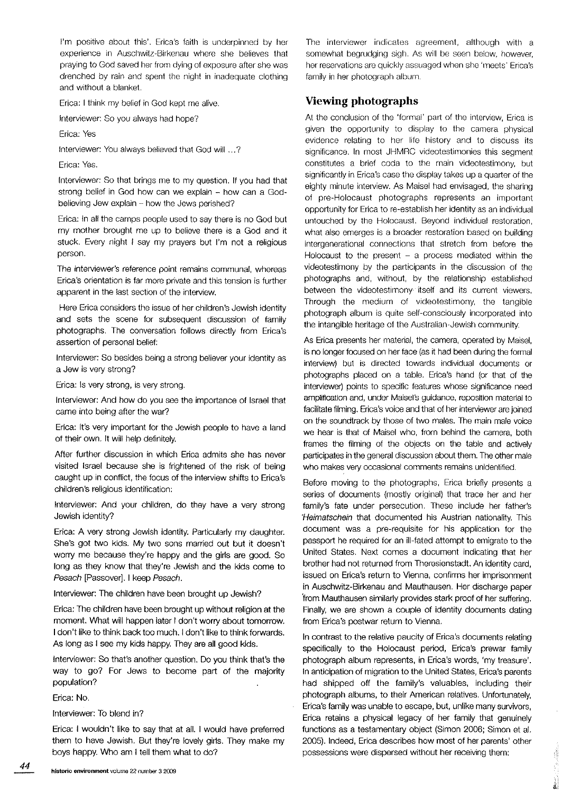l'm positive about this'. Erica's faith is underpinned by her experience in Auschwitz-Birkenau where she believes that praying to God saved her from dying of exposure after she was drenched by rain and spent the night in inadequate clothing ând without a blanket.

Erica: I think my belief in God kept me alive.

lnterviewer: So you always hacl hope?

Erica: Yes

lntervieweri You always believed thal God wiil ...?

Erica: Yes.

Interviewer: So that brings me to my question. If you had that strong belief in God how can we explain - how can a Godhelieving Jew explain - how the Jews perished?

Erica: In all the camps people used to say there is no God but my mother brought me up to believe there is a God and it stuck. Every night I say my prayers but I'm not a religious person.

The interviewer's reference point remains communal, whereas Erica's orientation is far more private and this tension is further apparent in the fast section of the interview,

Here Erica considers the issue of her children's Jewish identity and sets the scene for subsequent discussion of family photographs. The conversâtion follows directly from Erica's assertion of personal belief:

Interviewer: So besides being a strong believer your identity as a Jew is very strong?

Erica: ls very strong, is very strong.

lnterviewer: And how do you see the importance of lsrael that came into being after the war?

Erica: lt's very importânt for the Jewish peoplê to have a land of their own. lt wilf help defìnitely.

After further discussion in which Erica admits she has never visited lsrael because she is frightened of the rìsk of being caught up in conflict, the focus of the interview shifts to Erica's children's religious identification:

Interviewer: And your children, do they have a very strong Jewish identity?

Erica: A very strong Jewish identity. Particularly my daughter. She's got two kids. My two sons married out but it doesn't worry me because they're happy and the girls are good. So long as they know that they're Jewish and the kids come to Pesach [Passover]. I keep Pesach.

Interviewer: The children have been brought up Jewish?

Erica: The children have been brought up without religion at the moment. What will happen later I don't worry about tomorrow. I don't like to think back too much. I don't like to think forwards. As long as I see my kids happy. They are all good kids.

lnterviewer: So that's another question. Do you think that's the way to go? For Jews to become part of the majority population?

Erica: No.

44

lnterviewer: To blend in?

Erica: I wouldn't like to say that at all. I would have prefened them to have Jewish, But they're lovely girls. They make my boys happy. Who am I tell them what to do?

The interviewer indicates agreement, although with a somewhat begrudging sigh. As will be seen below, however, her reservations are quickly assuaged when she 'meets' Erica's family in her photograph album.

#### Viewing photographs

At the conclusion of the 'formal' part of the interview, Erica is given the opportunity to display to the camera physical evidence relating to her life history and to discuss its significance. In most JHMRC videotestimonies this segment constitutes a brief coda to the main videotestimony, but significantly in Erica's case the display takes up a quarter of the eighty minute interview. As Maisel had envisaged, the sharing of pre-Holocaust photographs represents an important opportunity for Erica to re-establish her identity as an individual untouched by the Holocaust. Beyond individual restoration, what also emerges is a broader restoration based on building intergenerational connections that stretch from before the Holocaust to the present  $-$  a process mediated within the videotestimony by the participants in the discussion of the photographs and, without, by the relationship estabfished between the videoteslimony itself and its current viewers, Through the medium of videotestimony, the tangible photograph album is quite self-consciously incorporated into the intangible heritage of the Australian-Jewish community.

As Erica presents her material, the camera, operated by Maisel, is no longer focused on her face (as it had been during the formal interview) but is directed towards individual documents or photographs placed on a table. Erica's hand (or that of the interviewer) points to specific features whose significance need amplification and, under Maisel's guidance, reposition material to facilitate filming. Erica's voice and that of her interviewer are joined on the soundtrack by those of two males. The main male voice we hear is that of Maisel who, from behind the camera, both frames the flming of the objects on the table and actively participates in the general discussion about them. The other male who makes very occasional comments remains unidentified.

Before moving to the photographs, Erica briefly presents a series of documents (mostly original) that trace her and her family's fate under persecution, These include her father's 'Heimatschein that documented his Austrian nationality. This document was a pre-requisite for his application for the passport he required for an ill-fated attempt to emigrate to the Uniled States, Next comes a document indicating that her brother had not returned from Theresienstadt. An identity card, issued on Erica's return to Vienna, confirms her imprisonment in Auschwitz-Birkenau and Mauthausen. Her discharge paper from Mauthausen similarly provides stark proof of her suffering. Finally, we are shown a couple of identity documents dating from Erica's postwar return to Vienna,

In contrast to the relative paucity of Erica's documents relating specifically to the Holocaust period, Erica's prewar family photograph album represents, in Erica's words, 'my treasure'. In anticipation of migration to the United States, Erica's parents had shipped off the family's valuables, including their photograph âlbums, to their American relalives. Unfortunately, Erica's family was unable to escape, but, unlike many survivors, Ericâ retains a physicâl legâcy of her family that genuinely functions as a testamentary object (Simon 2006; Simon et al. 2005). lndeed, Erica describes how most of her pârents' other possessions were dispersed without her receiving them:

**Construction**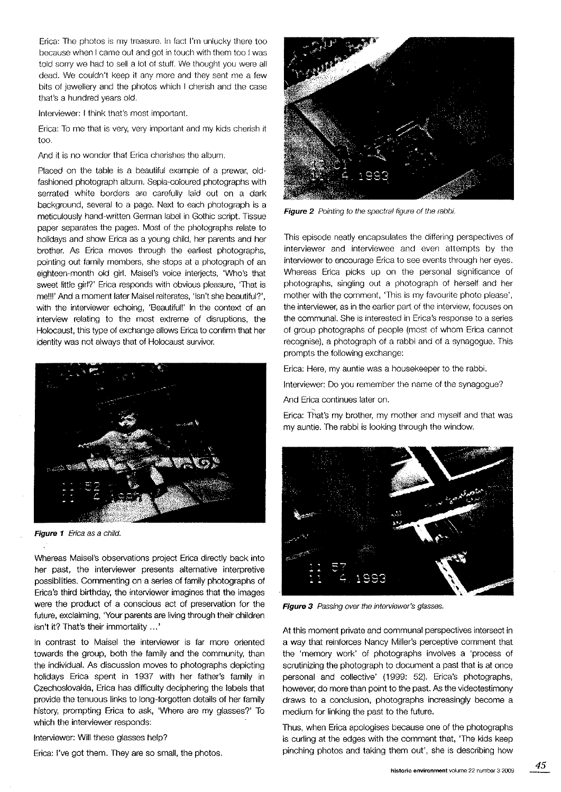Erica: The photos ls my treasure. ln fact l'm unlucky there too because when I came out and gol in touch with them too lwas told sorry we had to sell a lot of stuff. We thought you were all dead. We couldn't keep it any more and they sent me â few bits of jewellery and the photos which I cherish and the case that's a hundred years old.

lnterviewer: I think that's most imporlanl.

Erica: To me that is very, very important and my kids cherish it too.

And it is no wonder that Erica cherishes the album,

Placed on the table is a beautiful example of a prewar, oldfashioned photograph album. Sepia-coloured photographs with serrated white borders are carefully laid out on a dark background, several to a page. Next to each photograph is a meticulously hand-written German label in Gothic script. Tissue paper separates the pages. Most of the photographs relate to holidays and show Erica as a young child, her parents and her brother. As Erica moves through the earliest photographs, pointing out family members, she stops at a photograph of an eighteen-month old girl. Maisel's voice interjects, 'Who's that sweet little girl?' Erica responds with obvious pleasure, 'That is me!!!' And a moment later Maisel reiterates, 'Isn't she beautiful?', with the interviewer echoing, 'Beautiful!' In the context of an interview relating to the most extreme of disruptìons, the Holocaust, this type of exchange allows Erica to confirm that her identity was not always that of Holocâust survivor.



Figure 1 Erica as a child.

Whereas Maisel's observations project Erica directly back into her past, the interviewer presents afternative interpretive possibillties. Commenting on a series of famify photographs of Erica's third birthday, the interviewer imagines that the images were the product of a conscious act of preservation for the future, exclaiming, 'Your parents are living through their children isn't it? That's their immortality ...'

ln contrast to Maisel the ìnterviewer is far more onented towards the group, both the family and the community, than the individual. As discussion moves to photographs depicting holidays Erica spent in 1937 with her father's family in Czechoslovakia, Erica has difficulty deciphering the labels that provide the tenuous links to long-forgotten details of her family history, prompting Erica to ask, 'Where are my glasses?' To which the interviewer responds:

Interviewer: Will these glasses help?

Erica: I've got them. They are so small, the photos.



Figure 2 Pointing to the spectral figure of the rabbi.

This episode neatly encapsulates the differing perspectives of interviewer and interviewee and even attempts by the interviewer to encourage Erica to see events through her eyes. Whereas Erica picks up on the personal significance of photographs, singling out a photograph of herself and her mother with the comment, 'This is my favourite photo please', the interviewer, as in the earlier part of the interview, focuses on the communal. She is interested in Erica's response to a series of group photographs of people (most of whom Enca cannot recognise), a photograph of a rabbi and of a synagogue. This prompts the following exchange:

Erica: Here, my auntie was a housekeeper to the rabb¡.

Interviewer: Do you remember the name of the synagogue?

And Erica continues later on.

Erica: That's my brother, my mother and myself and that was my auntie. The rabbi is looking through the window.



Figure 3 Passing over the interviewer's glasses.

At this moment private and communal perspectives intersect in a way that reinforces Nancy Miller's perceptive comment that the 'memory work' of photographs involves a 'process of scrutinizing the photograph to document a past that is at once personal and collective' (1999: 52). Erica's photographs, however, do more than point to the past. As the videotestimony draws to a conclusion, photographs increasingly become a medium for linking the past to the future.

Thus, when Erica apologises because one of the photographs is curling at the edges with the comment that, 'The kids keep pinching photos and taking them out', she is describing how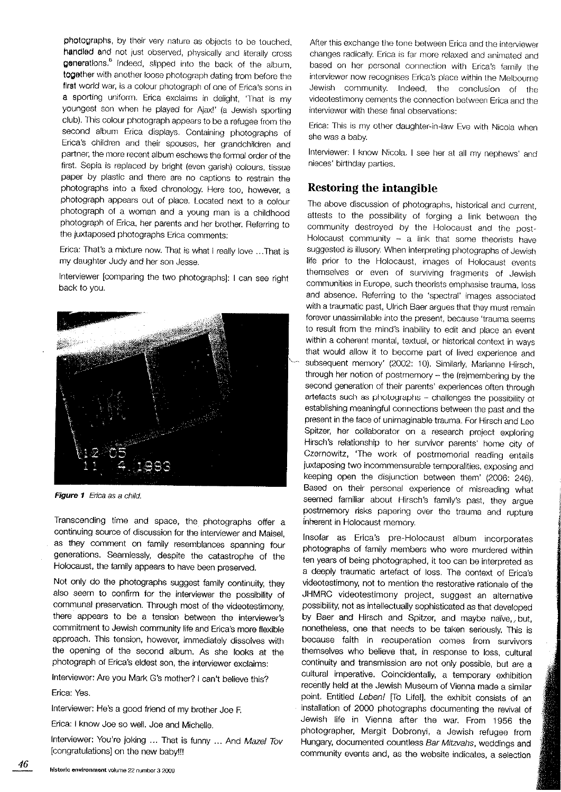photographs, by their very nature as objects to be touched, handled and not just observed, physically and literally cross generations.<sup>8</sup> indeed, slipped into the back of the album, together with another loose photograph dating from before the first world war, is a colour photograph of one of Erica's sons in a sporting uniform. Erica exclaims in delight, 'That is my youngest son when he played for Ajaxl' (a Jewish spoding club). This colour photograph appears to be a refugee from the second album Erica displays. Containing photographs of Erica's children and their spouses, her grandchildren and partner, the more recent album eschews the formal order of the first. Sepia is replaced by bright (even garish) colours, tissue paper by plastic and there are no captions to restrain the photographs tnto a fixed chronology. Here too, however, a photograph appears out of place. Located next to a colour photograph of a woman and a young man is a childhood photograph of Erica, her parents and her brother. Referring to the juxtaposed photographs Erica comments:

Erica: That's a mixture now. That is what I really love ...That is my daughter Judy and her son Jesse.

Interuiewer lcomparing the two photographs]: I can see right back to you.



Figure 1 Erica as a child.

Transcending time and space, the photographs offer a continuing source of discussion for the interviewer and Maisel, as they comment on family resemblances spanning four generations. Seamlessly, despite the catastrophe of the Holocaust, the family appears to have been preserved.

Not only do the photographs suggest family continuity, they also seem to confirm for the interviewer the possibility of communal preservation. Through most of the videotestimony, there appears to be a tension between the interviewer's commitment to Jewish community life and Erica's more flexible approach. This tension, however, immediately dissolves with the opening of the second album. As she looks at the photograph of Erica's eldest son, the interviewer exclaims:

Interviewer: Are you Mark G's mother? I can't believe this? Erica: Yes.

Interviewer: He's a good friend of my brother Joe F.

Erica: I know Joê so well. Joe and Michelle.

lnterviewer: You're jokíng ... That is funny ... And Mazel Tov lcongratulations] on the new baby!!!

After this exchange the tone between Erica and the interviewer changes radically. Erica is far more relaxed and animated and based on her personal oonnection with Erica's family the interviewer now recognises Erica's place within the Melbourne Jewish community. lndeed, the conclusion of the videotestimony cements the connection between Erica and the interviewer with these final observations:

Erica: This is my other daughter-in-law Eve with Nicola when she was a bab'y.

lnterviewer: I know Nicola, I see her at all my nephews' and nieces' birthday parties.

## Restoring the intangible

The above discussion of photographs, historical and current, attests to the possibility of forging a link between the community destroyed by the Holocaust and the post-Holocaust community  $-$  a link that some theorists have suggested is illusory. When interpreting photographs of Jewish life prior to the Holocaust, images of Holocaust events themselves or even of surviving fragments of Jewish communities in Europe, such theorists emphasise trauma, loss and absence. Referring to the 'spectral' images associated with a traumatic past, Ulrich Baer argues that they must remain forever unassimilable into the present, because 'trauma seems to result from the mind's inability to edit and place an event within a coherent mental, textual, or historical context in ways that would allow it to become part of lived experience and subsequent memory' (2002: 10), Similarly, Marianne Hirsch, through her notion of postmemory - the (re)membering by the second generation of their parents' experìences often through artefacts such as photographs - challenges the possibility of establishing meaningful connections between the past and the present in the face of unimaginable trauma. For Hirsch and Leo Spitzer, her collaborator on a research project exploring Hirsch's relationship to her survivor parents' home city of Czernowitz, 'The work of postmemorial reading entails juxtaposing two incommensurable temporalities, exposing and keeping open the disjunction between them' (2006: 246). Based on their personal experience of misreading what seemed familiar about Hirsch's family's past, they arque postmemory risks papering over the trauma and rupture inherent in Holocaust memory.

Insofar as Erica's pre-Holocaust album incorporates photographs of family members who were murdered within ten years of being photographed, it too can be interpreted as a deeply traumatic artefact of loss. The context of Erica's videotestimony, not to mention the restorative rationale of the JHMRC videotestimony project, suggest an alternative possibility, not as intellectually sophisticated as that developed by Baer and Hirsch and Spitzer, and maybe naïve, but, nonetheless, one that needs to be taken seriously. This is because faith in recuperation comes from survivors themselves who believe that, in response to loss, cultural continuity and transmission are not only possible, but are a cultural imperative. Coincidentally, a temporary exhibition recently held at the Jewish Museum of Vienna made a similar point. Entitled Leben! [To Life!], the exhibit consists of an installation of 2000 photographs documenting the revival of Jewish life in Vienna after the war. From 1956 the photographer, Margit Dobronyi, a Jewish refugee from Hungary, documented countless Bar Mitzvahs, weddings and community events and, as the website indicates, a selection

f,